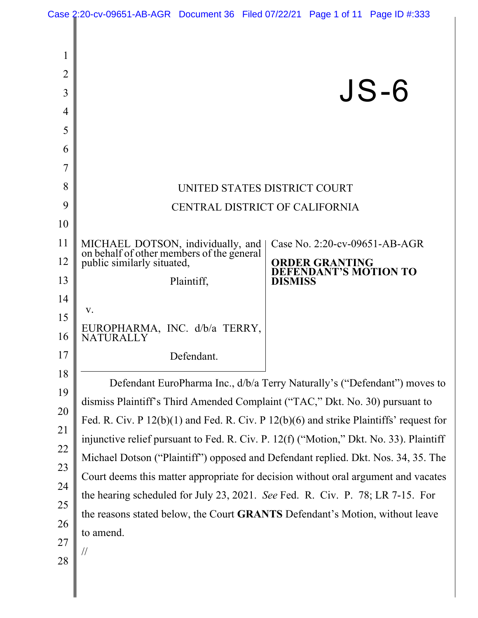|                                                   | Case 2:20-cv-09651-AB-AGR Document 36 Filed 07/22/21 Page 1 of 11 Page ID #:333            |                                                                                    |  |
|---------------------------------------------------|--------------------------------------------------------------------------------------------|------------------------------------------------------------------------------------|--|
| $\mathbf 1$<br>$\overline{2}$<br>3<br>4<br>5<br>6 |                                                                                            | $JS-6$                                                                             |  |
| 7                                                 |                                                                                            |                                                                                    |  |
| 8                                                 |                                                                                            | UNITED STATES DISTRICT COURT                                                       |  |
| 9                                                 |                                                                                            | CENTRAL DISTRICT OF CALIFORNIA                                                     |  |
| 10                                                |                                                                                            |                                                                                    |  |
| 11                                                | MICHAEL DOTSON, individually, and<br>on behalf of other members of the general             | Case No. 2:20-cv-09651-AB-AGR                                                      |  |
| 12                                                | public similarly situated,                                                                 | <b>ORDER GRANTING</b><br>EFENDANT'S MOTION TO                                      |  |
| 13                                                | Plaintiff,                                                                                 | <b>DISMISS</b>                                                                     |  |
| 14                                                | V.                                                                                         |                                                                                    |  |
| 15                                                | EUROPHARMA, INC. d/b/a TERRY,                                                              |                                                                                    |  |
| 16                                                | <b>NATURALLY</b>                                                                           |                                                                                    |  |
| 17                                                | Defendant                                                                                  |                                                                                    |  |
| 18                                                |                                                                                            | Defendant EuroPharma Inc., d/b/a Terry Naturally's ("Defendant") moves to          |  |
| 19                                                | dismiss Plaintiff's Third Amended Complaint ("TAC," Dkt. No. 30) pursuant to               |                                                                                    |  |
| 20                                                | Fed. R. Civ. P $12(b)(1)$ and Fed. R. Civ. P $12(b)(6)$ and strike Plaintiffs' request for |                                                                                    |  |
| 21                                                | injunctive relief pursuant to Fed. R. Civ. P. 12(f) ("Motion," Dkt. No. 33). Plaintiff     |                                                                                    |  |
| 22                                                | Michael Dotson ("Plaintiff") opposed and Defendant replied. Dkt. Nos. 34, 35. The          |                                                                                    |  |
| 23                                                |                                                                                            | Court deems this matter appropriate for decision without oral argument and vacates |  |
| 24                                                | the hearing scheduled for July 23, 2021. See Fed. R. Civ. P. 78; LR 7-15. For              |                                                                                    |  |
| 25                                                | the reasons stated below, the Court GRANTS Defendant's Motion, without leave               |                                                                                    |  |
| 26                                                | to amend.                                                                                  |                                                                                    |  |
| 27                                                | $\frac{1}{2}$                                                                              |                                                                                    |  |
| 28                                                |                                                                                            |                                                                                    |  |
|                                                   |                                                                                            |                                                                                    |  |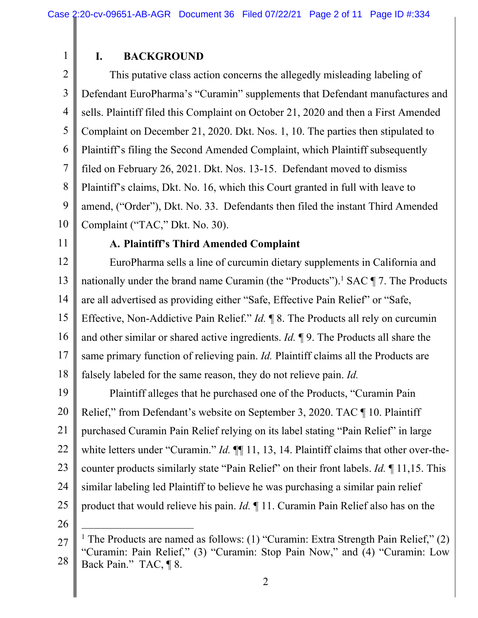# **I. BACKGROUND**

2 3 4 5 6 7 8 9 10 This putative class action concerns the allegedly misleading labeling of Defendant EuroPharma's "Curamin" supplements that Defendant manufactures and sells. Plaintiff filed this Complaint on October 21, 2020 and then a First Amended Complaint on December 21, 2020. Dkt. Nos. 1, 10. The parties then stipulated to Plaintiff's filing the Second Amended Complaint, which Plaintiff subsequently filed on February 26, 2021. Dkt. Nos. 13-15. Defendant moved to dismiss Plaintiff's claims, Dkt. No. 16, which this Court granted in full with leave to amend, ("Order"), Dkt. No. 33. Defendants then filed the instant Third Amended Complaint ("TAC," Dkt. No. 30).

11

1

### **A. Plaintiff's Third Amended Complaint**

12 13 14 15 16 17 18 EuroPharma sells a line of curcumin dietary supplements in California and nationally under the brand name Curamin (the "Products").<sup>1</sup> SAC  $\P$  7. The Products are all advertised as providing either "Safe, Effective Pain Relief" or "Safe, Effective, Non-Addictive Pain Relief." *Id.* ¶ 8. The Products all rely on curcumin and other similar or shared active ingredients. *Id.* ¶ 9. The Products all share the same primary function of relieving pain. *Id.* Plaintiff claims all the Products are falsely labeled for the same reason, they do not relieve pain. *Id.* 

19 20 21 22 23 24 25 Plaintiff alleges that he purchased one of the Products, "Curamin Pain Relief," from Defendant's website on September 3, 2020. TAC ¶ 10. Plaintiff purchased Curamin Pain Relief relying on its label stating "Pain Relief" in large white letters under "Curamin." *Id.* **[1**], 13, 14. Plaintiff claims that other over-thecounter products similarly state "Pain Relief" on their front labels. *Id.* ¶ 11,15. This similar labeling led Plaintiff to believe he was purchasing a similar pain relief product that would relieve his pain. *Id.* ¶ 11. Curamin Pain Relief also has on the

<sup>27</sup>  28 <sup>1</sup> The Products are named as follows: (1) "Curamin: Extra Strength Pain Relief," (2) "Curamin: Pain Relief," (3) "Curamin: Stop Pain Now," and (4) "Curamin: Low Back Pain." TAC, ¶ 8.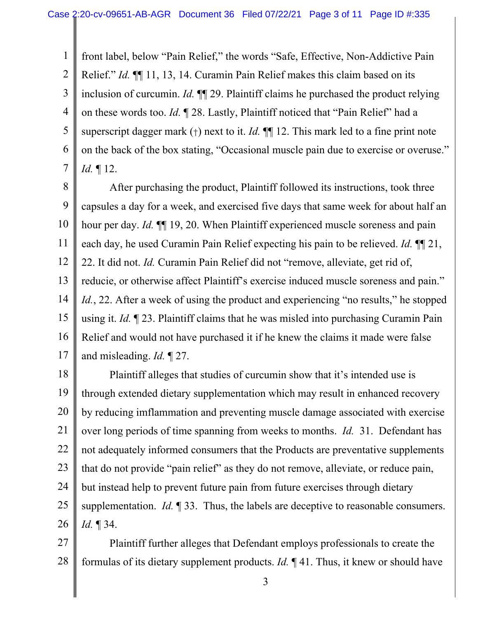1 2 3 4 5 6 7 front label, below "Pain Relief," the words "Safe, Effective, Non-Addictive Pain Relief." *Id.* ¶¶ 11, 13, 14. Curamin Pain Relief makes this claim based on its inclusion of curcumin. *Id.* ¶¶ 29. Plaintiff claims he purchased the product relying on these words too. *Id.* ¶ 28. Lastly, Plaintiff noticed that "Pain Relief" had a superscript dagger mark (†) next to it. *Id.* ¶¶ 12. This mark led to a fine print note on the back of the box stating, "Occasional muscle pain due to exercise or overuse." *Id.* ¶ 12.

8 9 10 11 12 13 14 15 16 17 After purchasing the product, Plaintiff followed its instructions, took three capsules a day for a week, and exercised five days that same week for about half an hour per day. *Id.* ¶¶ 19, 20. When Plaintiff experienced muscle soreness and pain each day, he used Curamin Pain Relief expecting his pain to be relieved. *Id.* ¶¶ 21, 22. It did not. *Id.* Curamin Pain Relief did not "remove, alleviate, get rid of, reducie, or otherwise affect Plaintiff's exercise induced muscle soreness and pain." *Id.*, 22. After a week of using the product and experiencing "no results," he stopped using it. *Id.* ¶ 23. Plaintiff claims that he was misled into purchasing Curamin Pain Relief and would not have purchased it if he knew the claims it made were false and misleading. *Id.* ¶ 27.

18 19 20 21 22 23 24 25 26 Plaintiff alleges that studies of curcumin show that it's intended use is through extended dietary supplementation which may result in enhanced recovery by reducing imflammation and preventing muscle damage associated with exercise over long periods of time spanning from weeks to months. *Id.* 31. Defendant has not adequately informed consumers that the Products are preventative supplements that do not provide "pain relief" as they do not remove, alleviate, or reduce pain, but instead help to prevent future pain from future exercises through dietary supplementation. *Id.* ¶ 33. Thus, the labels are deceptive to reasonable consumers. *Id.* ¶ 34.

27 28 Plaintiff further alleges that Defendant employs professionals to create the formulas of its dietary supplement products. *Id.* ¶ 41. Thus, it knew or should have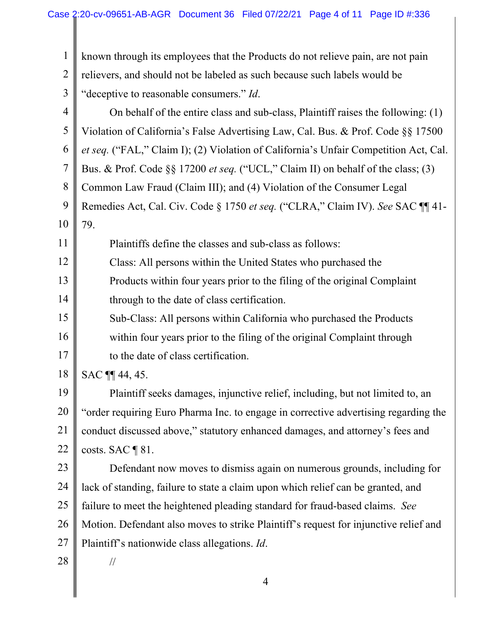$\parallel$ 

| $\mathbf{1}$   | known through its employees that the Products do not relieve pain, are not pain      |
|----------------|--------------------------------------------------------------------------------------|
| $\overline{2}$ | relievers, and should not be labeled as such because such labels would be            |
| 3              | "deceptive to reasonable consumers." Id.                                             |
| 4              | On behalf of the entire class and sub-class, Plaintiff raises the following: (1)     |
| 5              | Violation of California's False Advertising Law, Cal. Bus. & Prof. Code §§ 17500     |
| 6              | et seq. ("FAL," Claim I); (2) Violation of California's Unfair Competition Act, Cal. |
| 7              | Bus. & Prof. Code §§ 17200 et seq. ("UCL," Claim II) on behalf of the class; (3)     |
| 8              | Common Law Fraud (Claim III); and (4) Violation of the Consumer Legal                |
| 9              | Remedies Act, Cal. Civ. Code § 1750 et seq. ("CLRA," Claim IV). See SAC ¶ 41-        |
| 10             | 79.                                                                                  |
| 11             | Plaintiffs define the classes and sub-class as follows:                              |
| 12             | Class: All persons within the United States who purchased the                        |
| 13             | Products within four years prior to the filing of the original Complaint             |
| 14             | through to the date of class certification.                                          |
| 15             | Sub-Class: All persons within California who purchased the Products                  |
| 16             | within four years prior to the filing of the original Complaint through              |
| 17             | to the date of class certification.                                                  |
| 18             | SAC <b>11</b> 44, 45.                                                                |
| 19             | Plaintiff seeks damages, injunctive relief, including, but not limited to, an        |
| 20             | "order requiring Euro Pharma Inc. to engage in corrective advertising regarding the  |
| 21             | conduct discussed above," statutory enhanced damages, and attorney's fees and        |
| 22             | costs. SAC $\P$ 81.                                                                  |
| 23             | Defendant now moves to dismiss again on numerous grounds, including for              |
| 24             | lack of standing, failure to state a claim upon which relief can be granted, and     |
| 25             | failure to meet the heightened pleading standard for fraud-based claims. See         |
| 26             | Motion. Defendant also moves to strike Plaintiff's request for injunctive relief and |
| 27             | Plaintiff's nationwide class allegations. Id.                                        |
| 28             | $\frac{1}{2}$                                                                        |
|                |                                                                                      |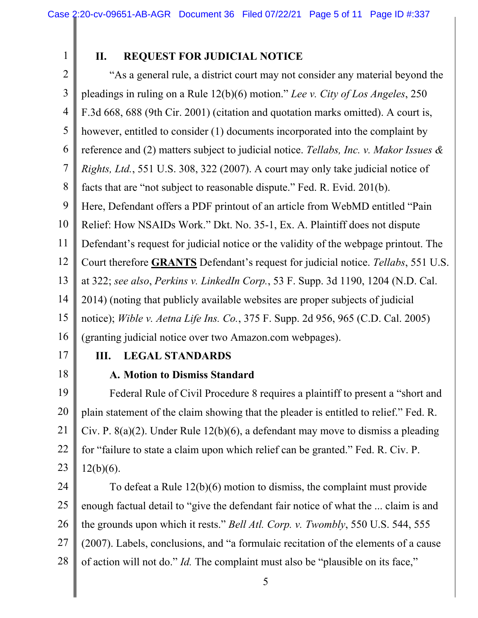1

# **II. REQUEST FOR JUDICIAL NOTICE**

2 3 4 5 6 7 8 9 10 11 12 13 14 15 16 "As a general rule, a district court may not consider any material beyond the pleadings in ruling on a Rule 12(b)(6) motion." *Lee v. City of Los Angeles*, 250 F.3d 668, 688 (9th Cir. 2001) (citation and quotation marks omitted). A court is, however, entitled to consider (1) documents incorporated into the complaint by reference and (2) matters subject to judicial notice. *Tellabs, Inc. v. Makor Issues & Rights, Ltd.*, 551 U.S. 308, 322 (2007). A court may only take judicial notice of facts that are "not subject to reasonable dispute." Fed. R. Evid. 201(b). Here, Defendant offers a PDF printout of an article from WebMD entitled "Pain Relief: How NSAIDs Work." Dkt. No. 35-1, Ex. A. Plaintiff does not dispute Defendant's request for judicial notice or the validity of the webpage printout. The Court therefore **GRANTS** Defendant's request for judicial notice. *Tellabs*, 551 U.S. at 322; *see also*, *Perkins v. LinkedIn Corp.*, 53 F. Supp. 3d 1190, 1204 (N.D. Cal. 2014) (noting that publicly available websites are proper subjects of judicial notice); *Wible v. Aetna Life Ins. Co.*, 375 F. Supp. 2d 956, 965 (C.D. Cal. 2005) (granting judicial notice over two Amazon.com webpages).

17

18

### **III. LEGAL STANDARDS**

**A. Motion to Dismiss Standard** 

19 20 21 22 23 Federal Rule of Civil Procedure 8 requires a plaintiff to present a "short and plain statement of the claim showing that the pleader is entitled to relief." Fed. R. Civ. P. 8(a)(2). Under Rule 12(b)(6), a defendant may move to dismiss a pleading for "failure to state a claim upon which relief can be granted." Fed. R. Civ. P.  $12(b)(6)$ .

24 25 26 27 28 To defeat a Rule 12(b)(6) motion to dismiss, the complaint must provide enough factual detail to "give the defendant fair notice of what the ... claim is and the grounds upon which it rests." *Bell Atl. Corp. v. Twombly*, 550 U.S. 544, 555 (2007). Labels, conclusions, and "a formulaic recitation of the elements of a cause of action will not do." *Id.* The complaint must also be "plausible on its face,"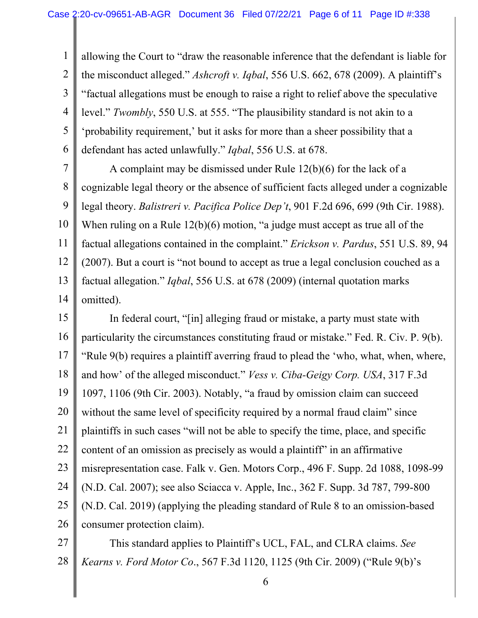1 2 3 4 5 6 allowing the Court to "draw the reasonable inference that the defendant is liable for the misconduct alleged." *Ashcroft v. Iqbal*, 556 U.S. 662, 678 (2009). A plaintiff's "factual allegations must be enough to raise a right to relief above the speculative level." *Twombly*, 550 U.S. at 555. "The plausibility standard is not akin to a 'probability requirement,' but it asks for more than a sheer possibility that a defendant has acted unlawfully." *Iqbal*, 556 U.S. at 678.

7 8 9 10 11 12 13 14 A complaint may be dismissed under Rule 12(b)(6) for the lack of a cognizable legal theory or the absence of sufficient facts alleged under a cognizable legal theory. *Balistreri v. Pacifica Police Dep't*, 901 F.2d 696, 699 (9th Cir. 1988). When ruling on a Rule 12(b)(6) motion, "a judge must accept as true all of the factual allegations contained in the complaint." *Erickson v. Pardus*, 551 U.S. 89, 94 (2007). But a court is "not bound to accept as true a legal conclusion couched as a factual allegation." *Iqbal*, 556 U.S. at 678 (2009) (internal quotation marks omitted).

15 16 17 18 19 20 21 22 23 24 25 26 In federal court, "[in] alleging fraud or mistake, a party must state with particularity the circumstances constituting fraud or mistake." Fed. R. Civ. P. 9(b). "Rule 9(b) requires a plaintiff averring fraud to plead the 'who, what, when, where, and how' of the alleged misconduct." *Vess v. Ciba-Geigy Corp. USA*, 317 F.3d 1097, 1106 (9th Cir. 2003). Notably, "a fraud by omission claim can succeed without the same level of specificity required by a normal fraud claim" since plaintiffs in such cases "will not be able to specify the time, place, and specific content of an omission as precisely as would a plaintiff" in an affirmative misrepresentation case. Falk v. Gen. Motors Corp., 496 F. Supp. 2d 1088, 1098-99 (N.D. Cal. 2007); see also Sciacca v. Apple, Inc., 362 F. Supp. 3d 787, 799-800 (N.D. Cal. 2019) (applying the pleading standard of Rule 8 to an omission-based consumer protection claim).

27 28 This standard applies to Plaintiff's UCL, FAL, and CLRA claims. *See Kearns v. Ford Motor Co*., 567 F.3d 1120, 1125 (9th Cir. 2009) ("Rule 9(b)'s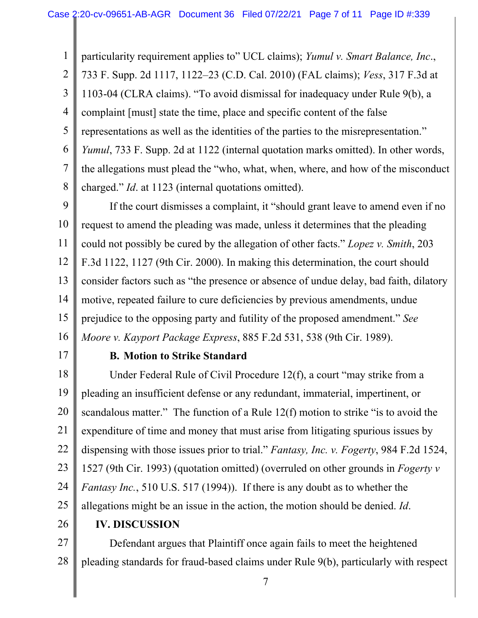1 2 3 4 5 6 7 8 particularity requirement applies to" UCL claims); *Yumul v. Smart Balance, Inc*., 733 F. Supp. 2d 1117, 1122–23 (C.D. Cal. 2010) (FAL claims); *Vess*, 317 F.3d at 1103-04 (CLRA claims). "To avoid dismissal for inadequacy under Rule 9(b), a complaint [must] state the time, place and specific content of the false representations as well as the identities of the parties to the misrepresentation." *Yumul*, 733 F. Supp. 2d at 1122 (internal quotation marks omitted). In other words, the allegations must plead the "who, what, when, where, and how of the misconduct charged." *Id*. at 1123 (internal quotations omitted).

9 10 11 12 13 14 15 16 If the court dismisses a complaint, it "should grant leave to amend even if no request to amend the pleading was made, unless it determines that the pleading could not possibly be cured by the allegation of other facts." *Lopez v. Smith*, 203 F.3d 1122, 1127 (9th Cir. 2000). In making this determination, the court should consider factors such as "the presence or absence of undue delay, bad faith, dilatory motive, repeated failure to cure deficiencies by previous amendments, undue prejudice to the opposing party and futility of the proposed amendment." *See Moore v. Kayport Package Express*, 885 F.2d 531, 538 (9th Cir. 1989).

17

#### **B. Motion to Strike Standard**

18 19 20 21 22 23 24 25 Under Federal Rule of Civil Procedure 12(f), a court "may strike from a pleading an insufficient defense or any redundant, immaterial, impertinent, or scandalous matter." The function of a Rule 12(f) motion to strike "is to avoid the expenditure of time and money that must arise from litigating spurious issues by dispensing with those issues prior to trial." *Fantasy, Inc. v. Fogerty*, 984 F.2d 1524, 1527 (9th Cir. 1993) (quotation omitted) (overruled on other grounds in *Fogerty v Fantasy Inc.*, 510 U.S. 517 (1994)). If there is any doubt as to whether the allegations might be an issue in the action, the motion should be denied. *Id*.

26

### **IV. DISCUSSION**

27 28 Defendant argues that Plaintiff once again fails to meet the heightened pleading standards for fraud-based claims under Rule 9(b), particularly with respect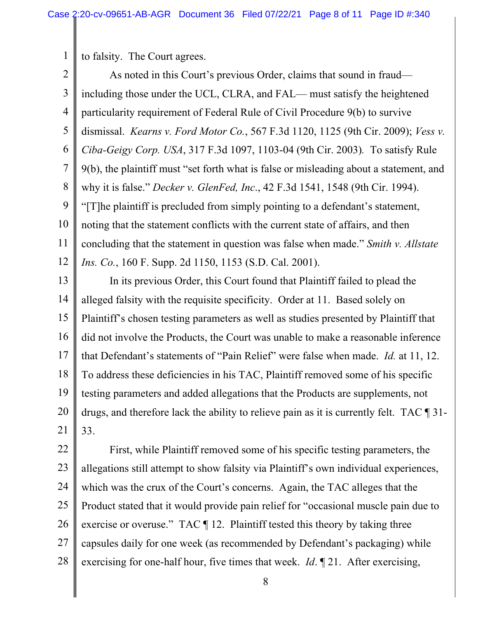to falsity. The Court agrees.

1

2 3 4 5 6 7 8 9 10 11 12 As noted in this Court's previous Order, claims that sound in fraud including those under the UCL, CLRA, and FAL— must satisfy the heightened particularity requirement of Federal Rule of Civil Procedure 9(b) to survive dismissal. *Kearns v. Ford Motor Co.*, 567 F.3d 1120, 1125 (9th Cir. 2009); *Vess v. Ciba-Geigy Corp. USA*, 317 F.3d 1097, 1103-04 (9th Cir. 2003)*.* To satisfy Rule 9(b), the plaintiff must "set forth what is false or misleading about a statement, and why it is false." *Decker v. GlenFed, Inc*., 42 F.3d 1541, 1548 (9th Cir. 1994). "[T]he plaintiff is precluded from simply pointing to a defendant's statement, noting that the statement conflicts with the current state of affairs, and then concluding that the statement in question was false when made." *Smith v. Allstate Ins. Co.*, 160 F. Supp. 2d 1150, 1153 (S.D. Cal. 2001).

13 14 15 16 17 18 19 20 21 In its previous Order, this Court found that Plaintiff failed to plead the alleged falsity with the requisite specificity. Order at 11. Based solely on Plaintiff's chosen testing parameters as well as studies presented by Plaintiff that did not involve the Products, the Court was unable to make a reasonable inference that Defendant's statements of "Pain Relief" were false when made. *Id.* at 11, 12. To address these deficiencies in his TAC, Plaintiff removed some of his specific testing parameters and added allegations that the Products are supplements, not drugs, and therefore lack the ability to relieve pain as it is currently felt. TAC ¶ 31- 33.

22 23 24 25 26 27 28 First, while Plaintiff removed some of his specific testing parameters, the allegations still attempt to show falsity via Plaintiff's own individual experiences, which was the crux of the Court's concerns. Again, the TAC alleges that the Product stated that it would provide pain relief for "occasional muscle pain due to exercise or overuse." TAC  $\P$  12. Plaintiff tested this theory by taking three capsules daily for one week (as recommended by Defendant's packaging) while exercising for one-half hour, five times that week. *Id*. ¶ 21. After exercising,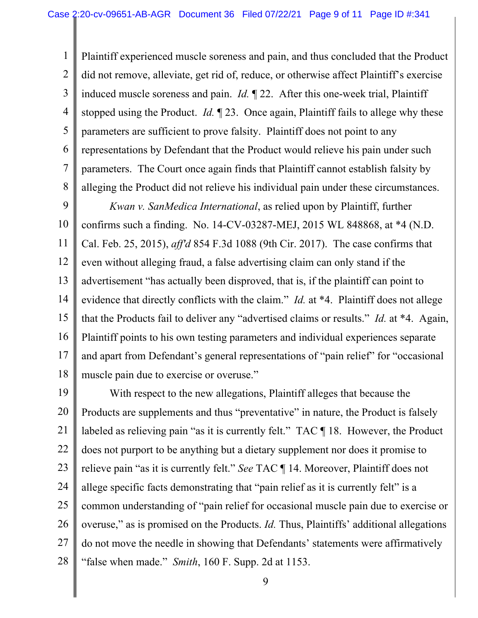1 2 3 4 5 6 7 8 Plaintiff experienced muscle soreness and pain, and thus concluded that the Product did not remove, alleviate, get rid of, reduce, or otherwise affect Plaintiff's exercise induced muscle soreness and pain. *Id.* ¶ 22. After this one-week trial, Plaintiff stopped using the Product. *Id.* ¶ 23. Once again, Plaintiff fails to allege why these parameters are sufficient to prove falsity. Plaintiff does not point to any representations by Defendant that the Product would relieve his pain under such parameters. The Court once again finds that Plaintiff cannot establish falsity by alleging the Product did not relieve his individual pain under these circumstances.

9 10 11 12 13 14 15 16 17 18 *Kwan v. SanMedica International*, as relied upon by Plaintiff, further confirms such a finding. No. 14-CV-03287-MEJ, 2015 WL 848868, at \*4 (N.D. Cal. Feb. 25, 2015), *aff'd* 854 F.3d 1088 (9th Cir. 2017). The case confirms that even without alleging fraud, a false advertising claim can only stand if the advertisement "has actually been disproved, that is, if the plaintiff can point to evidence that directly conflicts with the claim." *Id.* at \*4. Plaintiff does not allege that the Products fail to deliver any "advertised claims or results." *Id.* at \*4. Again, Plaintiff points to his own testing parameters and individual experiences separate and apart from Defendant's general representations of "pain relief" for "occasional muscle pain due to exercise or overuse."

19 20 21 22 23 24 25 26 27 28 With respect to the new allegations, Plaintiff alleges that because the Products are supplements and thus "preventative" in nature, the Product is falsely labeled as relieving pain "as it is currently felt." TAC ¶ 18. However, the Product does not purport to be anything but a dietary supplement nor does it promise to relieve pain "as it is currently felt." *See* TAC ¶ 14. Moreover, Plaintiff does not allege specific facts demonstrating that "pain relief as it is currently felt" is a common understanding of "pain relief for occasional muscle pain due to exercise or overuse," as is promised on the Products. *Id.* Thus, Plaintiffs' additional allegations do not move the needle in showing that Defendants' statements were affirmatively "false when made." *Smith*, 160 F. Supp. 2d at 1153.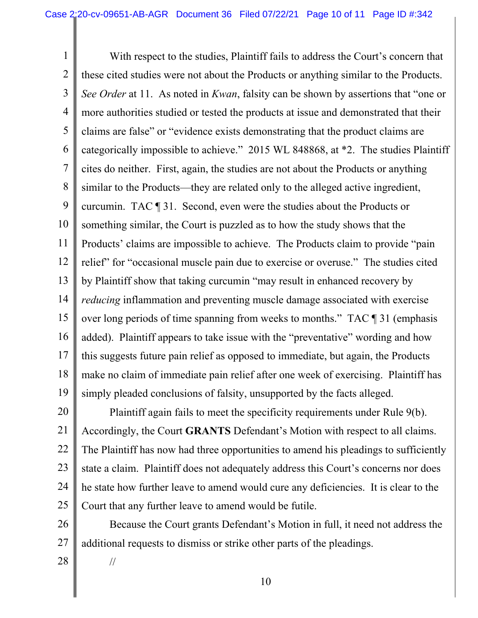1 2 3 4 5 6 7 8 9 10 11 12 13 14 15 16 17 18 19 With respect to the studies, Plaintiff fails to address the Court's concern that these cited studies were not about the Products or anything similar to the Products. *See Order* at 11. As noted in *Kwan*, falsity can be shown by assertions that "one or more authorities studied or tested the products at issue and demonstrated that their claims are false" or "evidence exists demonstrating that the product claims are categorically impossible to achieve." 2015 WL 848868, at \*2. The studies Plaintiff cites do neither. First, again, the studies are not about the Products or anything similar to the Products—they are related only to the alleged active ingredient, curcumin. TAC ¶ 31. Second, even were the studies about the Products or something similar, the Court is puzzled as to how the study shows that the Products' claims are impossible to achieve. The Products claim to provide "pain relief" for "occasional muscle pain due to exercise or overuse." The studies cited by Plaintiff show that taking curcumin "may result in enhanced recovery by *reducing* inflammation and preventing muscle damage associated with exercise over long periods of time spanning from weeks to months." TAC ¶ 31 (emphasis added). Plaintiff appears to take issue with the "preventative" wording and how this suggests future pain relief as opposed to immediate, but again, the Products make no claim of immediate pain relief after one week of exercising. Plaintiff has simply pleaded conclusions of falsity, unsupported by the facts alleged.

20 21 22 23 24 25 Plaintiff again fails to meet the specificity requirements under Rule 9(b). Accordingly, the Court **GRANTS** Defendant's Motion with respect to all claims. The Plaintiff has now had three opportunities to amend his pleadings to sufficiently state a claim. Plaintiff does not adequately address this Court's concerns nor does he state how further leave to amend would cure any deficiencies. It is clear to the Court that any further leave to amend would be futile.

26 27 Because the Court grants Defendant's Motion in full, it need not address the additional requests to dismiss or strike other parts of the pleadings.

28

//